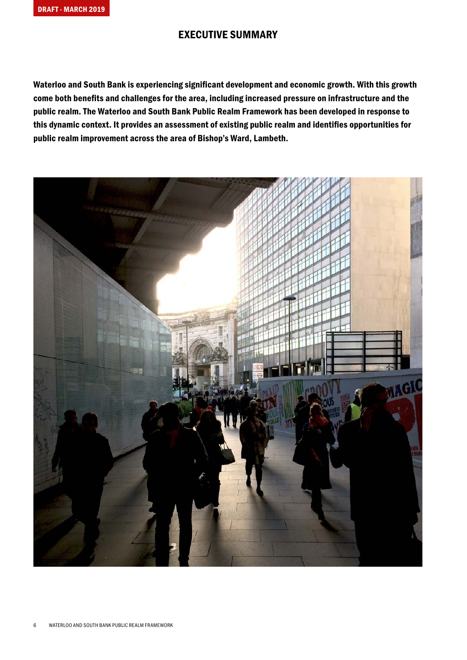# EXECUTIVE SUMMARY

Waterloo and South Bank is experiencing significant development and economic growth. With this growth come both benefits and challenges for the area, including increased pressure on infrastructure and the public realm. The Waterloo and South Bank Public Realm Framework has been developed in response to this dynamic context. It provides an assessment of existing public realm and identifies opportunities for public realm improvement across the area of Bishop's Ward, Lambeth.

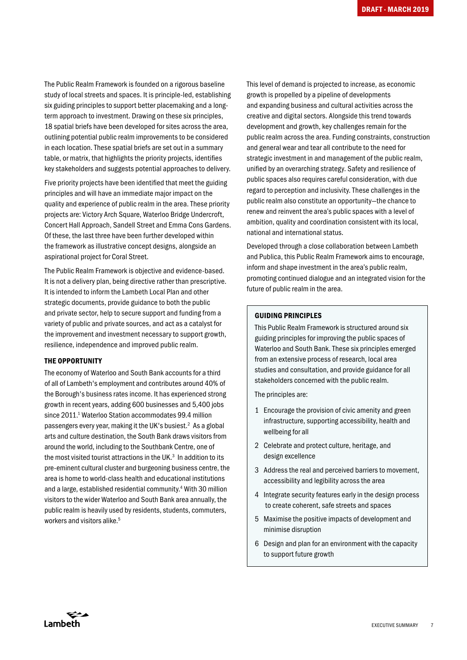The Public Realm Framework is founded on a rigorous baseline study of local streets and spaces. It is principle-led, establishing six guiding principles to support better placemaking and a longterm approach to investment. Drawing on these six principles, 18 spatial briefs have been developed for sites across the area, outlining potential public realm improvements to be considered in each location. These spatial briefs are set out in a summary table, or matrix, that highlights the priority projects, identifies key stakeholders and suggests potential approaches to delivery.

Five priority projects have been identified that meet the guiding principles and will have an immediate major impact on the quality and experience of public realm in the area. These priority projects are: Victory Arch Square, Waterloo Bridge Undercroft, Concert Hall Approach, Sandell Street and Emma Cons Gardens. Of these, the last three have been further developed within the framework as illustrative concept designs, alongside an aspirational project for Coral Street.

The Public Realm Framework is objective and evidence-based. It is not a delivery plan, being directive rather than prescriptive. It is intended to inform the Lambeth Local Plan and other strategic documents, provide guidance to both the public and private sector, help to secure support and funding from a variety of public and private sources, and act as a catalyst for the improvement and investment necessary to support growth, resilience, independence and improved public realm.

#### THE OPPORTUNITY

The economy of Waterloo and South Bank accounts for a third of all of Lambeth's employment and contributes around 40% of the Borough's business rates income. It has experienced strong growth in recent years, adding 600 businesses and 5,400 jobs since 2011.<sup>1</sup> Waterloo Station accommodates 99.4 million passengers every year, making it the UK's busiest.<sup>2</sup> As a global arts and culture destination, the South Bank draws visitors from around the world, including to the Southbank Centre, one of the most visited tourist attractions in the UK. $^3$  In addition to its pre-eminent cultural cluster and burgeoning business centre, the area is home to world-class health and educational institutions and a large, established residential community.<sup>4</sup> With 30 million visitors to the wider Waterloo and South Bank area annually, the public realm is heavily used by residents, students, commuters, workers and visitors alike.<sup>5</sup>

This level of demand is projected to increase, as economic growth is propelled by a pipeline of developments and expanding business and cultural activities across the creative and digital sectors. Alongside this trend towards development and growth, key challenges remain for the public realm across the area. Funding constraints, construction and general wear and tear all contribute to the need for strategic investment in and management of the public realm, unified by an overarching strategy. Safety and resilience of public spaces also requires careful consideration, with due regard to perception and inclusivity. These challenges in the public realm also constitute an opportunity—the chance to renew and reinvent the area's public spaces with a level of ambition, quality and coordination consistent with its local, national and international status.

Developed through a close collaboration between Lambeth and Publica, this Public Realm Framework aims to encourage, inform and shape investment in the area's public realm, promoting continued dialogue and an integrated vision for the future of public realm in the area.

## GUIDING PRINCIPLES

This Public Realm Framework is structured around six guiding principles for improving the public spaces of Waterloo and South Bank. These six principles emerged from an extensive process of research, local area studies and consultation, and provide guidance for all stakeholders concerned with the public realm.

The principles are:

- 1 Encourage the provision of civic amenity and green infrastructure, supporting accessibility, health and wellbeing for all
- 2 Celebrate and protect culture, heritage, and design excellence
- 3 Address the real and perceived barriers to movement, accessibility and legibility across the area
- 4 Integrate security features early in the design process to create coherent, safe streets and spaces
- 5 Maximise the positive impacts of development and minimise disruption
- 6 Design and plan for an environment with the capacity to support future growth

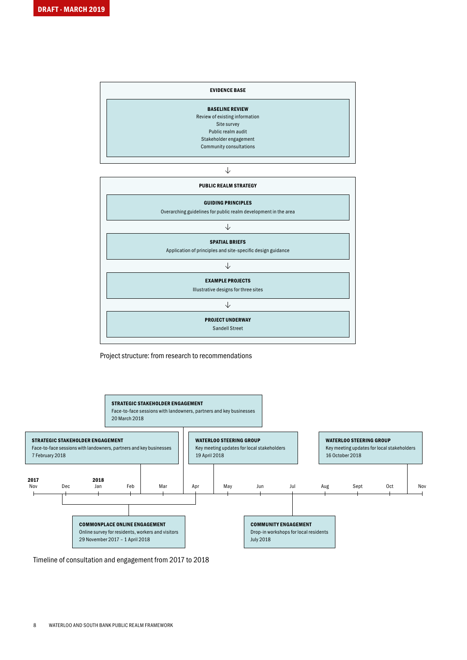#### EVIDENCE BASE

BASELINE REVIEW Review of existing information Site survey Public realm audit

Stakeholder engagement

Community consultations

| × |  |
|---|--|

| <b>PUBLIC REALM STRATEGY</b>                                                                 |  |
|----------------------------------------------------------------------------------------------|--|
| <b>GUIDING PRINCIPLES</b><br>Overarching guidelines for public realm development in the area |  |
|                                                                                              |  |
| <b>SPATIAL BRIEFS</b><br>Application of principles and site-specific design guidance         |  |
|                                                                                              |  |
| <b>EXAMPLE PROJECTS</b><br>Illustrative designs for three sites                              |  |
|                                                                                              |  |
| <b>PROJECT UNDERWAY</b><br><b>Sandell Street</b>                                             |  |

 $\blacksquare$ 

Project structure: from research to recommendations



Timeline of consultation and engagement from 2017 to 2018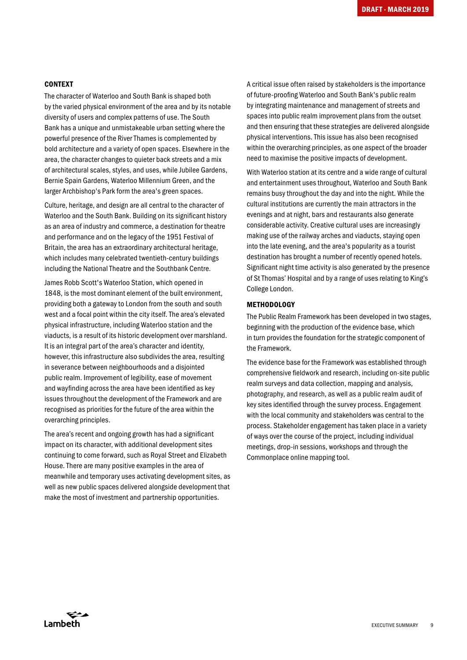### CONTEXT

The character of Waterloo and South Bank is shaped both by the varied physical environment of the area and by its notable diversity of users and complex patterns of use. The South Bank has a unique and unmistakeable urban setting where the powerful presence of the River Thames is complemented by bold architecture and a variety of open spaces. Elsewhere in the area, the character changes to quieter back streets and a mix of architectural scales, styles, and uses, while Jubilee Gardens, Bernie Spain Gardens, Waterloo Millennium Green, and the larger Archbishop's Park form the area's green spaces.

Culture, heritage, and design are all central to the character of Waterloo and the South Bank. Building on its significant history as an area of industry and commerce, a destination for theatre and performance and on the legacy of the 1951 Festival of Britain, the area has an extraordinary architectural heritage, which includes many celebrated twentieth-century buildings including the National Theatre and the Southbank Centre.

James Robb Scott's Waterloo Station, which opened in 1848, is the most dominant element of the built environment, providing both a gateway to London from the south and south west and a focal point within the city itself. The area's elevated physical infrastructure, including Waterloo station and the viaducts, is a result of its historic development over marshland. It is an integral part of the area's character and identity, however, this infrastructure also subdivides the area, resulting in severance between neighbourhoods and a disjointed public realm. Improvement of legibility, ease of movement and wayfinding across the area have been identified as key issues throughout the development of the Framework and are recognised as priorities for the future of the area within the overarching principles.

The area's recent and ongoing growth has had a significant impact on its character, with additional development sites continuing to come forward, such as Royal Street and Elizabeth House. There are many positive examples in the area of meanwhile and temporary uses activating development sites, as well as new public spaces delivered alongside development that make the most of investment and partnership opportunities.

A critical issue often raised by stakeholders is the importance of future-proofing Waterloo and South Bank's public realm by integrating maintenance and management of streets and spaces into public realm improvement plans from the outset and then ensuring that these strategies are delivered alongside physical interventions. This issue has also been recognised within the overarching principles, as one aspect of the broader need to maximise the positive impacts of development.

With Waterloo station at its centre and a wide range of cultural and entertainment uses throughout, Waterloo and South Bank remains busy throughout the day and into the night. While the cultural institutions are currently the main attractors in the evenings and at night, bars and restaurants also generate considerable activity. Creative cultural uses are increasingly making use of the railway arches and viaducts, staying open into the late evening, and the area's popularity as a tourist destination has brought a number of recently opened hotels. Significant night time activity is also generated by the presence of St Thomas' Hospital and by a range of uses relating to King's College London.

## **METHODOLOGY**

The Public Realm Framework has been developed in two stages, beginning with the production of the evidence base, which in turn provides the foundation for the strategic component of the Framework.

The evidence base for the Framework was established through comprehensive fieldwork and research, including on-site public realm surveys and data collection, mapping and analysis, photography, and research, as well as a public realm audit of key sites identified through the survey process. Engagement with the local community and stakeholders was central to the process. Stakeholder engagement has taken place in a variety of ways over the course of the project, including individual meetings, drop-in sessions, workshops and through the Commonplace online mapping tool.

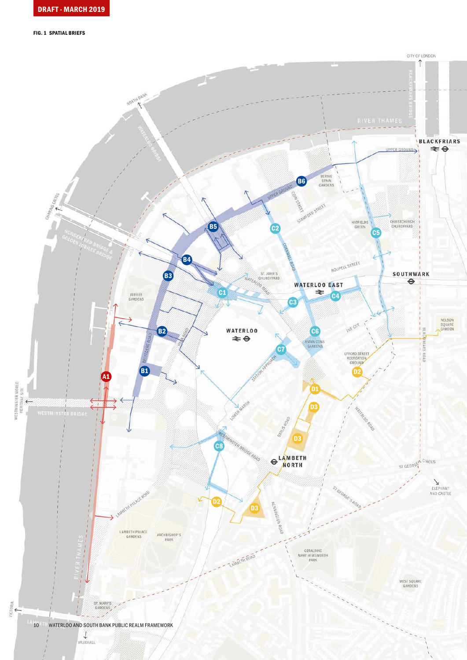#### FIG. 1 SPATIAL BRIEFS

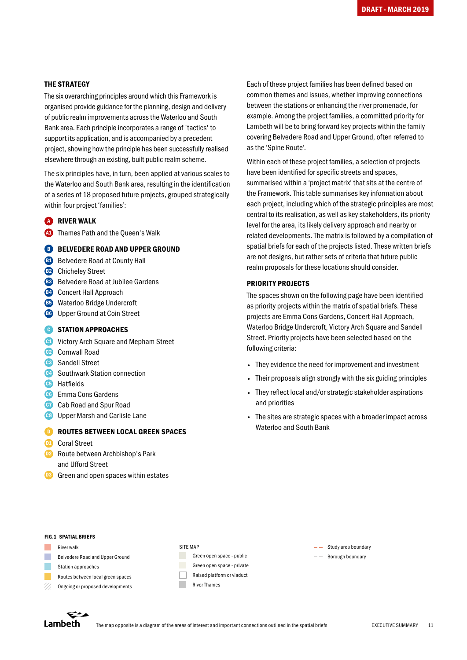### THE STRATEGY

The six overarching principles around which this Framework is organised provide guidance for the planning, design and delivery of public realm improvements across the Waterloo and South Bank area. Each principle incorporates a range of 'tactics' to support its application, and is accompanied by a precedent project, showing how the principle has been successfully realised elsewhere through an existing, built public realm scheme.

The six principles have, in turn, been applied at various scales to the Waterloo and South Bank area, resulting in the identification of a series of 18 proposed future projects, grouped strategically within four project 'families':

## **A** RIVER WALK

**41** Thames Path and the Queen's Walk

### B BELVEDERE ROAD AND UPPER GROUND

- **B1** Belvedere Road at County Hall
- B<sub>2</sub> Chicheley Street
- B3 Belvedere Road at Jubilee Gardens
- B4 Concert Hall Approach
- B5 Waterloo Bridge Undercroft
- B6 Upper Ground at Coin Street

## C STATION APPROACHES

- C1 Victory Arch Square and Mepham Street
- C<sub>2</sub> Cornwall Road
- C<sub>3</sub> Sandell Street
- C4 Southwark Station connection
- C<sub>5</sub></sub> Hatfields
- C6 Emma Cons Gardens
- C7 Cab Road and Spur Road
- C8 Upper Marsh and Carlisle Lane

### **D** ROUTES BETWEEN LOCAL GREEN SPACES

- D1 Coral Street
- D<sub>2</sub> Route between Archbishop's Park and Ufford Street
- **D3** Green and open spaces within estates

## Each of these project families has been defined based on common themes and issues, whether improving connections between the stations or enhancing the river promenade, for example. Among the project families, a committed priority for Lambeth will be to bring forward key projects within the family covering Belvedere Road and Upper Ground, often referred to as the 'Spine Route'.

Within each of these project families, a selection of projects have been identified for specific streets and spaces, summarised within a 'project matrix' that sits at the centre of the Framework. This table summarises key information about each project, including which of the strategic principles are most central to its realisation, as well as key stakeholders, its priority level for the area, its likely delivery approach and nearby or related developments. The matrix is followed by a compilation of spatial briefs for each of the projects listed. These written briefs are not designs, but rather sets of criteria that future public realm proposals for these locations should consider.

#### PRIORITY PROJECTS

The spaces shown on the following page have been identified as priority projects within the matrix of spatial briefs. These projects are Emma Cons Gardens, Concert Hall Approach, Waterloo Bridge Undercroft, Victory Arch Square and Sandell Street. Priority projects have been selected based on the following criteria:

- They evidence the need for improvement and investment
- Their proposals align strongly with the six guiding principles
- They reflect local and/or strategic stakeholder aspirations and priorities
- The sites are strategic spaces with a broader impact across Waterloo and South Bank

#### FIG.1 SPATIAL BRIEFS **River walk**

- **Belvedere Road and Upper Ground**
- Station approaches
- **Routes between local green spaces**
- **Zzy** Ongoing or proposed developments
- Green open space public Green open space - private

SITE MAP

- $\Box$ Raised platform or viaduct
- $\mathcal{L}^{\text{max}}$ River Thames

#### Study area boundary

Borough boundary

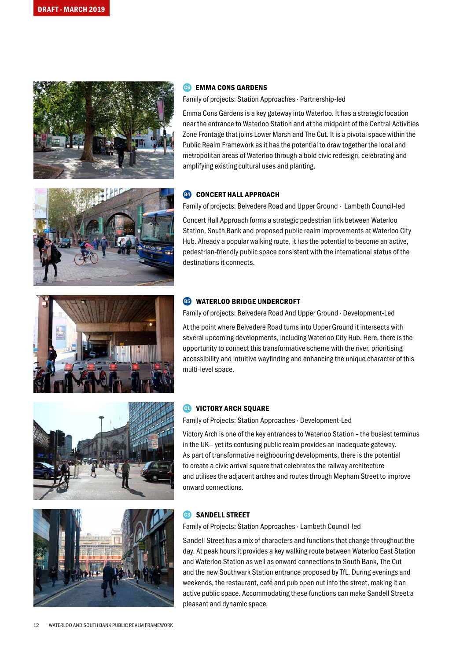



### C6 EMMA CONS GARDENS

Family of projects: Station Approaches · Partnership-led

Emma Cons Gardens is a key gateway into Waterloo. It has a strategic location near the entrance to Waterloo Station and at the midpoint of the Central Activities Zone Frontage that joins Lower Marsh and The Cut. It is a pivotal space within the Public Realm Framework as it has the potential to draw together the local and metropolitan areas of Waterloo through a bold civic redesign, celebrating and amplifying existing cultural uses and planting.

## **B4** CONCERT HALL APPROACH

Family of projects: Belvedere Road and Upper Ground · Lambeth Council-led

Concert Hall Approach forms a strategic pedestrian link between Waterloo Station, South Bank and proposed public realm improvements at Waterloo City Hub. Already a popular walking route, it has the potential to become an active, pedestrian-friendly public space consistent with the international status of the destinations it connects.

## **B5** WATERLOO BRIDGE UNDERCROFT

Family of projects: Belvedere Road And Upper Ground · Development-Led

At the point where Belvedere Road turns into Upper Ground it intersects with several upcoming developments, including Waterloo City Hub. Here, there is the opportunity to connect this transformative scheme with the river, prioritising accessibility and intuitive wayfinding and enhancing the unique character of this multi-level space.



### **G1** VICTORY ARCH SQUARE

Family of Projects: Station Approaches · Development-Led

Victory Arch is one of the key entrances to Waterloo Station – the busiest terminus in the UK – yet its confusing public realm provides an inadequate gateway. As part of transformative neighbouring developments, there is the potential to create a civic arrival square that celebrates the railway architecture and utilises the adjacent arches and routes through Mepham Street to improve onward connections.



## **C3** SANDELL STREET

Family of Projects: Station Approaches · Lambeth Council-led

Sandell Street has a mix of characters and functions that change throughout the day. At peak hours it provides a key walking route between Waterloo East Station and Waterloo Station as well as onward connections to South Bank, The Cut and the new Southwark Station entrance proposed by TfL. During evenings and weekends, the restaurant, café and pub open out into the street, making it an active public space. Accommodating these functions can make Sandell Street a pleasant and dynamic space.